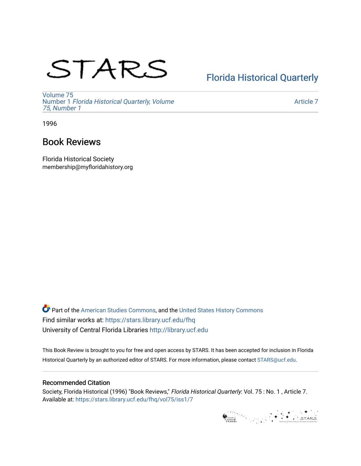# STARS

## [Florida Historical Quarterly](https://stars.library.ucf.edu/fhq)

[Volume 75](https://stars.library.ucf.edu/fhq/vol75) Number 1 [Florida Historical Quarterly, Volume](https://stars.library.ucf.edu/fhq/vol75/iss1)  [75, Number 1](https://stars.library.ucf.edu/fhq/vol75/iss1)

[Article 7](https://stars.library.ucf.edu/fhq/vol75/iss1/7) 

1996

## Book Reviews

Florida Historical Society membership@myfloridahistory.org

**C** Part of the [American Studies Commons](http://network.bepress.com/hgg/discipline/439?utm_source=stars.library.ucf.edu%2Ffhq%2Fvol75%2Fiss1%2F7&utm_medium=PDF&utm_campaign=PDFCoverPages), and the United States History Commons Find similar works at: <https://stars.library.ucf.edu/fhq> University of Central Florida Libraries [http://library.ucf.edu](http://library.ucf.edu/) 

This Book Review is brought to you for free and open access by STARS. It has been accepted for inclusion in Florida Historical Quarterly by an authorized editor of STARS. For more information, please contact [STARS@ucf.edu.](mailto:STARS@ucf.edu)

### Recommended Citation

Society, Florida Historical (1996) "Book Reviews," Florida Historical Quarterly: Vol. 75 : No. 1 , Article 7. Available at: [https://stars.library.ucf.edu/fhq/vol75/iss1/7](https://stars.library.ucf.edu/fhq/vol75/iss1/7?utm_source=stars.library.ucf.edu%2Ffhq%2Fvol75%2Fiss1%2F7&utm_medium=PDF&utm_campaign=PDFCoverPages) 

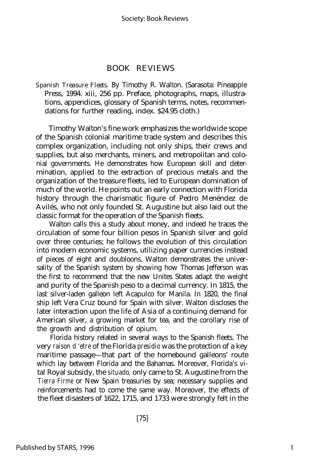*Spanish Treasure Fleets.* By Timothy R. Walton. (Sarasota: Pineapple Press, 1994. xiii, 256 pp. Preface, photographs, maps, illustrations, appendices, glossary of Spanish terms, notes, recommendations for further reading, index. \$24.95 cloth.)

Timothy Walton's fine work emphasizes the worldwide scope of the Spanish colonial maritime trade system and describes this complex organization, including not only ships, their crews and supplies, but also merchants, miners, and metropolitan and colonial governments. He demonstrates how European skill and determination, applied to the extraction of precious metals and the organization of the treasure fleets, led to European domination of much of the world. He points out an early connection with Florida history through the charismatic figure of Pedro Menéndez de Avilés, who not only founded St. Augustine but also laid out the classic format for the operation of the Spanish fleets.

Walton calls this a study about money, and indeed he traces the circulation of some four billion pesos in Spanish silver and gold over three centuries; he follows the evolution of this circulation into modern economic systems, utilizing paper currencies instead of pieces of eight and doubloons. Walton demonstrates the universality of the Spanish system by showing how Thomas Jefferson was the first to recommend that the new Unites States adapt the weight and purity of the Spanish peso to a decimal currency. In 1815, the last silver-laden galleon left Acapulco for Manila. In 1820, the final ship left Vera Cruz bound for Spain with silver. Walton discloses the later interaction upon the life of Asia of a continuing demand for American silver, a growing market for tea, and the corollary rise of the growth and distribution of opium.

Florida history related in several ways to the Spanish fleets. The very *raison d 'etre* of the Florida *presidio* was the protection of a key maritime passage— that part of the homebound galleons' route which lay between Florida and the Bahamas. Moreover, Florida's vital Royal subsidy, the *situado,* only came to St. Augustine from the *Tierra Firme* or New Spain treasuries by sea; necessary supplies and reinforcements had to come the same way. Moreover, the effects of the fleet disasters of 1622, 1715, and 1733 were strongly felt in the

[75]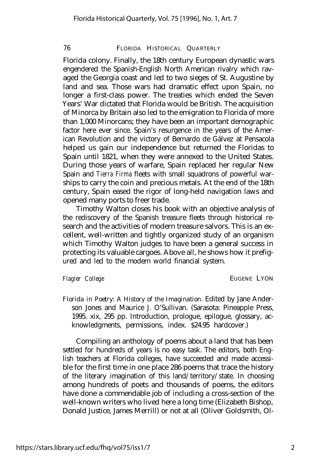Florida colony. Finally, the 18th century European dynastic wars engendered the Spanish-English North American rivalry which ravaged the Georgia coast and led to two sieges of St. Augustine by land and sea. Those wars had dramatic effect upon Spain, no longer a first-class power. The treaties which ended the Seven Years' War dictated that Florida would be British. The acquisition of Minorca by Britain also led to the emigration to Florida of more than 1,000 Minorcans; they have been an important demographic factor here ever since. Spain's resurgence in the years of the American Revolution and the victory of Bernardo de Gálvez at Pensacola helped us gain our independence but returned the Floridas to Spain until 1821, when they were annexed to the United States. During those years of warfare, Spain replaced her regular New Spain and *Tierra Firma* fleets with small squadrons of powerful warships to carry the coin and precious metals. At the end of the 18th century, Spain eased the rigor of long-held navigation laws and opened many ports to freer trade.

Timothy Walton closes his book with an objective analysis of the rediscovery of the Spanish treasure fleets through historical research and the activities of modern treasure salvors. This is an excellent, well-written and tightly organized study of an organism which Timothy Walton judges to have been a general success in protecting its valuable cargoes. Above all, he shows how it prefigured and led to the modem world financial system.

**Flagler College** EUGENE LYON

*Florida in Poetry: A History of the Imagination.* Edited by Jane Anderson Jones and Maurice J. O'Sullivan. (Sarasota: Pineapple Press, 1995. xix, 295 pp. Introduction, prologue, epilogue, glossary, acknowledgments, permissions, index. \$24.95 hardcover.)

Compiling an anthology of poems about a land that has been settled for hundreds of years is no easy task. The editors, both English teachers at Florida colleges, have succeeded and made accessible for the first time in one place 286 poems that trace the history of the literary imagination of this land/territory/state. In choosing among hundreds of poets and thousands of poems, the editors have done a commendable job of including a cross-section of the well-known writers who lived here a long time (Elizabeth Bishop, Donald Justice, James Merrill) or not at all (Oliver Goldsmith, Ol-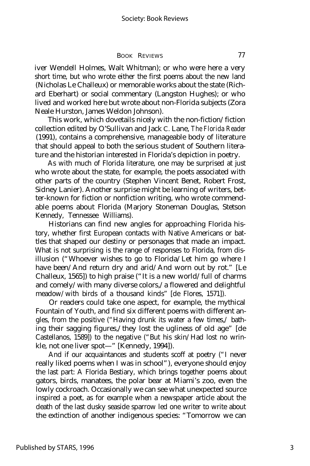iver Wendell Holmes, Walt Whitman); or who were here a very short time, but who wrote either the first poems about the new land (Nicholas Le Challeux) or memorable works about the state (Richard Eberhart) or social commentary (Langston Hughes); or who lived and worked here but wrote about non-Florida subjects (Zora Neale Hurston, James Weldon Johnson).

This work, which dovetails nicely with the non-fiction/fiction collection edited by O'Sullivan and Jack C. Lane, *The Florida Reader* (1991), contains a comprehensive, manageable body of literature that should appeal to both the serious student of Southern literature and the historian interested in Florida's depiction in poetry.

As with much of Florida literature, one may be surprised at just who wrote about the state, for example, the poets associated with other parts of the country (Stephen Vincent Benet, Robert Frost, Sidney Lanier). Another surprise might be learning of writers, better-known for fiction or nonfiction writing, who wrote commendable poems about Florida (Marjory Stoneman Douglas, Stetson Kennedy, Tennessee Williams).

Historians can find new angles for approaching Florida history, whether first European contacts with Native Americans or battles that shaped our destiny or personages that made an impact. What is not surprising is the range of responses to Florida, from disillusion ("Whoever wishes to go to Florida/Let him go where I have been/And return dry and arid/And worn out by rot." [Le Challeux, 1565]) to high praise ("It is a new world/full of charms and comely/with many diverse colors,/a flowered and delightful meadow/with birds of a thousand kinds" [de Flores, 1571]).

Or readers could take one aspect, for example, the mythical Fountain of Youth, and find six different poems with different angles, from the positive ("Having drunk its water a few times,/ bathing their sagging figures,/they lost the ugliness of old age" [de Castellanos, 1589]) to the negative ("But his skin/Had lost no wrinkle, not one liver spot— " [Kennedy, 1994]).

And if our acquaintances and students scoff at poetry ("I never really liked poems when I was in school"), everyone should enjoy the last part: A Florida Bestiary, which brings together poems about gators, birds, manatees, the polar bear at Miami's zoo, even the lowly cockroach. Occasionally we can see what unexpected source inspired a poet, as for exampIe when a newspaper article about the death of the last dusky seaside sparrow led one writer to write about the extinction of another indigenous species: "Tomorrow we can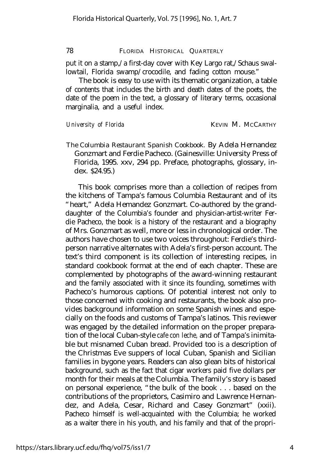put it on a stamp,/a first-day cover with Key Largo rat,/Schaus swallowtail, Florida swamp/crocodile, and fading cotton mouse."

The book is easy to use with its thematic organization, a table of contents that includes the birth and death dates of the poets, the date of the poem in the text, a glossary of literary terms, occasional marginalia, and a useful index.

*University of Florida* KEVIN M. MCCARTHY

*The Columbia Restaurant Spanish Cookbook.* By Adela Hernandez Gonzmart and Ferdie Pacheco. (Gainesville: University Press of Florida, 1995. xxv, 294 pp. Preface, photographs, glossary, index. \$24.95.)

This book comprises more than a collection of recipes from the kitchens of Tampa's famous Columbia Restaurant and of its "heart," Adela Hemandez Gonzmart. Co-authored by the granddaughter of the Columbia's founder and physician-artist-writer Ferdie Pacheco, the book is a history of the restaurant and a biography of Mrs. Gonzmart as well, more or less in chronological order. The authors have chosen to use two voices throughout: Ferdie's thirdperson narrative alternates with Adela's first-person account. The text's third component is its collection of interesting recipes, in standard cookbook format at the end of each chapter. These are complemented by photographs of the award-winning restaurant and the family associated with it since its founding, sometimes with Pacheco's humorous captions. Of potential interest not only to those concerned with cooking and restaurants, the book also provides background information on some Spanish wines and especially on the foods and customs of Tampa's latinos. This reviewer was engaged by the detailed information on the proper preparation of the local Cuban-style *cafe con leche,* and of Tampa's inimitable but misnamed Cuban bread. Provided too is a description of the Christmas Eve suppers of local Cuban, Spanish and Sicilian families in bygone years. Readers can also glean bits of historical background, such as the fact that cigar workers paid five dollars per month for their meals at the Columbia. The family's story is based on personal experience, "the bulk of the book . . . based on the contributions of the proprietors, Casimiro and Lawrence Hernandez, and Adela, Cesar, Richard and Casey Gonzmart" (xxii). Pacheco himself is well-acquainted with the Columbia; he worked as a waiter there in his youth, and his family and that of the propri-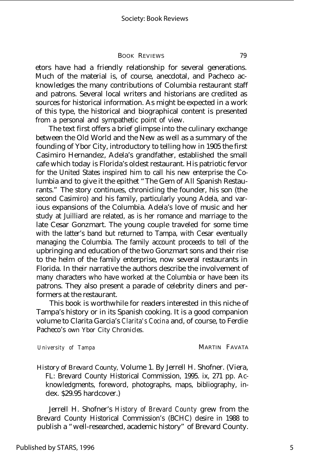etors have had a friendly relationship for several generations. Much of the material is, of course, anecdotal, and Pacheco acknowledges the many contributions of Columbia restaurant staff and patrons. Several local writers and historians are credited as sources for historical information. As might be expected in a work of this type, the historical and biographical content is presented from a personal and sympathetic point of view.

The text first offers a brief glimpse into the culinary exchange between the Old World and the New as well as a summary of the founding of Ybor City, introductory to telling how in 1905 the first Casimiro Hernandez, Adela's grandfather, established the small cafe which today is Florida's oldest restaurant. His patriotic fervor for the United States inspired him to call his new enterprise the Columbia and to give it the epithet "The Gem of All Spanish Restaurants." The story continues, chronicling the founder, his son (the second Casimiro) and his family, particularly young Adela, and various expansions of the Columbia. Adela's love of music and her study at Juilliard are related, as is her romance and marriage to the late Cesar Gonzmart. The young couple traveled for some time with the latter's band but returned to Tampa, with Cesar eventually managing the Columbia. The family account proceeds to tell of the upbringing and education of the two Gonzmart sons and their rise to the helm of the family enterprise, now several restaurants in Florida. In their narrative the authors describe the involvement of many characters who have worked at the Columbia or have been its patrons. They also present a parade of celebrity diners and performers at the restaurant.

This book is worthwhile for readers interested in this niche of Tampa's history or in its Spanish cooking. It is a good companion volume to Clarita Garcia's *Clarita's Cocina* and, of course, to Ferdie Pacheco's own *Ybor City Chronicles.*

*University of Tampa* MARTIN FAVATA

*History of Brevard County,* Volume 1. By Jerrell H. Shofner. (Viera, FL: Brevard County Historical Commission, 1995. ix, 271 pp. Acknowledgments, foreword, photographs, maps, bibliography, index. \$29.95 hardcover.)

Jerrell H. Shofner's *History of Brevard County* grew from the Brevard County Historical Commission's (BCHC) desire in 1988 to publish a "well-researched, academic history" of Brevard County.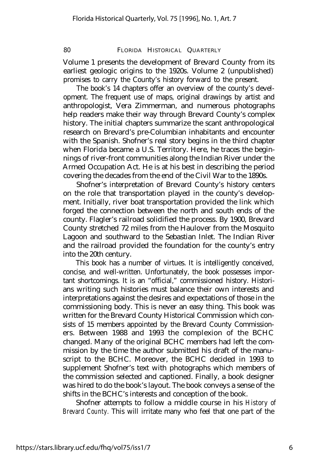Volume 1 presents the development of Brevard County from its earliest geologic origins to the 1920s. Volume 2 (unpublished) promises to carry the County's history forward to the present.

The book's 14 chapters offer an overview of the county's development. The frequent use of maps, original drawings by artist and anthropologist, Vera Zimmerman, and numerous photographs help readers make their way through Brevard County's complex history. The initial chapters summarize the scant anthropological research on Brevard's pre-Columbian inhabitants and encounter with the Spanish. Shofner's real story begins in the third chapter when Florida became a U.S. Territory. Here, he traces the beginnings of river-front communities along the Indian River under the Armed Occupation Act. He is at his best in describing the period covering the decades from the end of the Civil War to the 1890s.

Shofner's interpretation of Brevard County's history centers on the role that transportation played in the county's development. Initially, river boat transportation provided the link which forged the connection between the north and south ends of the county. Flagler's railroad solidified the process. By 1900, Brevard County stretched 72 miles from the Haulover from the Mosquito Lagoon and southward to the Sebastian Inlet. The Indian River and the railroad provided the foundation for the county's entry into the 20th century.

This book has a number of virtues. It is intelligently conceived, concise, and well-written. Unfortunately, the book possesses important shortcomings. It is an "official," commissioned history. Historians writing such histories must balance their own interests and interpretations against the desires and expectations of those in the commissioning body. This is never an easy thing. This book was written for the Brevard County Historical Commission which consists of 15 members appointed by the Brevard County Commissioners. Between 1988 and 1993 the complexion of the BCHC changed. Many of the original BCHC members had left the commission by the time the author submitted his draft of the manuscript to the BCHC. Moreover, the BCHC decided in 1993 to supplement Shofner's text with photographs which members of the commission selected and captioned. Finally, a book designer was hired to do the book's layout. The book conveys a sense of the shifts in the BCHC's interests and conception of the book.

Shofner attempts to follow a middle course in his *History of Brevard County.* This will irritate many who feel that one part of the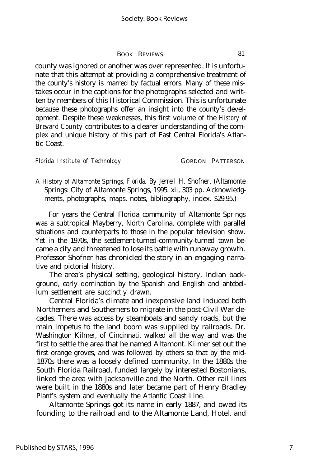county was ignored or another was over represented. It is unfortunate that this attempt at providing a comprehensive treatment of the county's history is marred by factual errors. Many of these mistakes occur in the captions for the photographs selected and written by members of this Historical Commission. This is unfortunate because these photographs offer an insight into the county's development. Despite these weaknesses, this first volume of the *History of Brevard County* contributes to a clearer understanding of the complex and unique history of this part of East Central Florida's Atlantic Coast.

*Florida Institute of Technology* GORDON PATTERSON

*A History of Altamonte Springs, Florida.* By Jerrell H. Shofner. (Altamonte Springs: City of Altamonte Springs, 1995. xii, 303 pp. Acknowledgments, photographs, maps, notes, bibliography, index. \$29.95.)

For years the Central Florida community of Altamonte Springs was a subtropical Mayberry, North Carolina, complete with parallel situations and counterparts to those in the popular television show. Yet in the 1970s, the settlement-turned-community-turned town became a city and threatened to lose its battle with runaway growth. Professor Shofner has chronicled the story in an engaging narrative and pictorial history.

The area's physical setting, geological history, Indian background, early domination by the Spanish and English and antebellum settlement are succinctly drawn.

Central Florida's climate and inexpensive land induced both Northerners and Southerners to migrate in the post-Civil War decades. There was access by steamboats and sandy roads, but the main impetus to the land boom was supplied by railroads. Dr. Washington Kilmer, of Cincinnati, walked all the way and was the first to settle the area that he named Altamont. Kilmer set out the first orange groves, and was followed by others so that by the mid-1870s there was a loosely defined community. In the 1880s the South Florida Railroad, funded largely by interested Bostonians, linked the area with Jacksonville and the North. Other rail lines were built in the 1880s and later became part of Henry Bradley Plant's system and eventually the Atlantic Coast Line.

Altamonte Springs got its name in early 1887, and owed its founding to the railroad and to the Altamonte Land, Hotel, and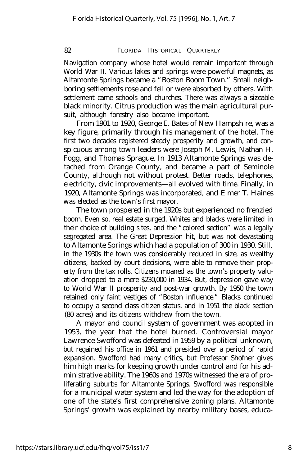Navigation company whose hotel would remain important through World War II. Various lakes and springs were powerful magnets, as Altamonte Springs became a "Boston Boom Town." Small neighboring settlements rose and fell or were absorbed by others. With settlement came schools and churches. There was always a sizeable black minority. Citrus production was the main agricultural pursuit, although forestry also became important.

From 1901 to 1920, George E. Bates of New Hampshire, was a key figure, primarily through his management of the hotel. The first two decades registered steady prosperity and growth, and conspicuous among town leaders were Joseph M. Lewis, Nathan H. Fogg, and Thomas Sprague. In 1913 Altamonte Springs was detached from Orange County, and became a part of Seminole County, although not without protest. Better roads, telephones, electricity, civic improvements— all evolved with time. Finally, in 1920, Altamonte Springs was incorporated, and Elmer T. Haines was elected as the town's first mayor.

The town prospered in the 1920s but experienced no frenzied boom. Even so, real estate surged. Whites and blacks were limited in their choice of building sites, and the "colored section" was a legally segregated area. The Great Depression hit, but was not devastating to Altamonte Springs which had a population of 300 in 1930. Still, in the 1930s the town was considerably reduced in size, as wealthy citizens, backed by court decisions, were able to remove their property from the tax rolls. Citizens moaned as the town's property valuation dropped to a mere \$230,000 in 1934. But, depression gave way to World War II prosperity and post-war growth. By 1950 the town retained only faint vestiges of "Boston influence." Blacks continued to occupy a second class citizen status, and in 1951 the black section (80 acres) and its citizens withdrew from the town.

A mayor and council system of government was adopted in 1953, the year that the hotel burned. Controversial mayor Lawrence Swofford was defeated in 1959 by a political unknown, but regained his office in 1961 and presided over a period of rapid expansion. Swofford had many critics, but Professor Shofner gives him high marks for keeping growth under control and for his administrative ability. The 1960s and 1970s witnessed the era of proliferating suburbs for Altamonte Springs. Swofford was responsible for a municipal water system and led the way for the adoption of one of the state's first comprehensive zoning plans. Altamonte Springs' growth was explained by nearby military bases, educa-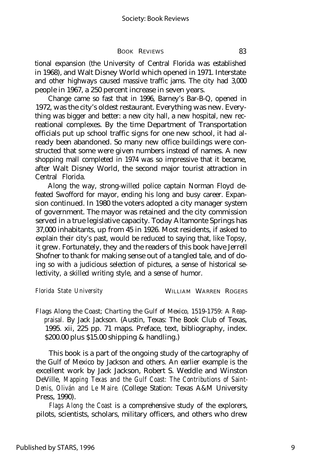tional expansion (the University of Central Florida was established in 1968), and Walt Disney World which opened in 1971. Interstate and other highways caused massive traffic jams. The city had 3,000 people in 1967, a 250 percent increase in seven years.

Change came so fast that in 1996, Barney's Bar-B-Q, opened in 1972, was the city's oldest restaurant. Everything was new. Everything was bigger and better: a new city hall, a new hospital, new recreational complexes. By the time Department of Transportation officials put up school traffic signs for one new school, it had already been abandoned. So many new office buildings were constructed that some were given numbers instead of names. A new shopping mall completed in 1974 was so impressive that it became, after Walt Disney World, the second major tourist attraction in Central Florida.

Along the way, strong-willed police captain Norman Floyd defeated Swofford for mayor, ending his long and busy career. Expansion continued. In 1980 the voters adopted a city manager system of government. The mayor was retained and the city commission served in a true legislative capacity. Today Altamonte Springs has 37,000 inhabitants, up from 45 in 1926. Most residents, if asked to explain their city's past, would be reduced to saying that, like Topsy, it grew. Fortunately, they and the readers of this book have Jerrell Shofner to thank for making sense out of a tangled tale, and of doing so with a judicious selection of pictures, a sense of historical selectivity, a skilled writing style, and a sense of humor.

*Florida State University* WILLIAM WARREN ROGERS

*Flags Along the Coast; Charting the Gulf of Mexico, 1519-1759: A Reappraisal.* By Jack Jackson. (Austin, Texas: The Book Club of Texas, 1995. xii, 225 pp. 71 maps. Preface, text, bibliography, index. \$200.00 plus \$15.00 shipping & handling.)

This book is a part of the ongoing study of the cartography of the Gulf of Mexico by Jackson and others. An earlier example is the excellent work by Jack Jackson, Robert S. Weddle and Winston DeVille, *Mapping Texas and the Gulf Coast: The Contributions of Saint-Denis, Oliván and Le Maire.* (College Station: Texas A&M University Press, 1990).

*Flags Along the Coast* is a comprehensive study of the explorers, pilots, scientists, scholars, military officers, and others who drew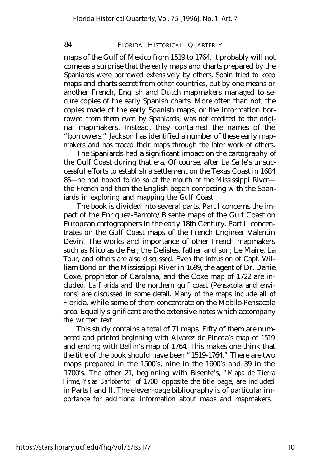maps of the Gulf of Mexico from 1519 to 1764. It probably will not come as a surprise that the early maps and charts prepared by the Spaniards were borrowed extensively by others. Spain tried to keep maps and charts secret from other countries, but by one means or another French, English and Dutch mapmakers managed to secure copies of the early Spanish charts. More often than not, the copies made of the early Spanish maps, or the information borrowed from them even by Spaniards, was not credited to the original mapmakers. Instead, they contained the names of the "borrowers." Jackson has identified a number of these early mapmakers and has traced their maps through the later work of others.

The Spaniards had a significant impact on the cartography of the Gulf Coast during that era. Of course, after La Salle's unsuccessful efforts to establish a settlement on the Texas Coast in 1684 85— he had hoped to do so at the mouth of the Mississippi River the French and then the English began competing with the Spaniards in exploring and mapping the Gulf Coast.

The book is divided into several parts. Part I concerns the impact of the Enriquez-Barroto/Bisente maps of the Gulf Coast on European cartographers in the early 18th Century. Part II concentrates on the Gulf Coast maps of the French Engineer Valentin Devin. The works and importance of other French mapmakers such as Nicolas de Fer; the Delisles, father and son; Le Maire, La Tour, and others are also discussed. Even the intrusion of Capt. William Bond on the Mississippi River in 1699, the agent of Dr. Daniel Coxe, proprietor of Carolana, and the Coxe map of 1722 are included. *La Florida* and the northern gulf coast (Pensacola and environs) are discussed in some detail. Many of the maps include all of Florida, while some of them concentrate on the Mobile-Pensacola area. Equally significant are the extensive notes which accompany the written text.

This study contains a total of 71 maps. Fifty of them are numbered and printed beginning with Alvarez de Pineda's map of 1519 and ending with Bellin's map of 1764. This makes one think that the title of the book should have been "1519-1764." There are two maps prepared in the 1500's, nine in the 1600's and 39 in the 1700's. The other 21, beginning with Bisente's, *"Mapa de Tierra Firme, Yslas Barlobento" of* 1700, opposite the title page, are included in Parts I and II. The eleven-page bibliography is of particular importance for additional information about maps and mapmakers.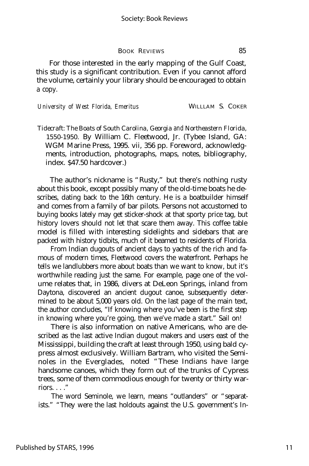For those interested in the early mapping of the Gulf Coast, this study is a significant contribution. Even if you cannot afford the volume, certainly your library should be encouraged to obtain a copy.

#### *University of West Florida, Emeritus* WILLLAM S. COKER

*Tidecraft: The Boats of South Carolina, Georgia and Northeastern Florida, 1550-1950.* By William C. Fleetwood, Jr. (Tybee Island, GA: WGM Marine Press, 1995. vii, 356 pp. Foreword, acknowledgments, introduction, photographs, maps, notes, bibliography, index. \$47.50 hardcover.)

The author's nickname is "Rusty," but there's nothing rusty about this book, except possibly many of the old-time boats he describes, dating back to the 16th century. He is a boatbuilder himself and comes from a family of bar pilots. Persons not accustomed to buying books lately may get sticker-shock at that sporty price tag, but history lovers should not let that scare them away. This coffee table model is filled with interesting sidelights and sidebars that are packed with history tidbits, much of it beamed to residents of Florida.

From Indian dugouts of ancient days to yachts of the rich and famous of modern times, Fleetwood covers the waterfront. Perhaps he tells we landlubbers more about boats than we want to know, but it's worthwhile reading just the same. For example, page one of the volume relates that, in 1986, divers at DeLeon Springs, inland from Daytona, discovered an ancient dugout canoe, subsequently determined to be about 5,000 years old. On the last page of the main text, the author concludes, "If knowing where you've been is the first step in knowing where you're going, then we've made a start." Sail on!

There is also information on native Americans, who are described as the last active Indian dugout makers and users east of the Mississippi, building the craft at least through 1950, using bald cypress almost exclusively. William Bartram, who visited the Seminoles in the Everglades, noted "These Indians have large handsome canoes, which they form out of the trunks of Cypress trees, some of them commodious enough for twenty or thirty warriors. . . ."

The word Seminole, we learn, means "outlanders" or "separatists." "They were the last holdouts against the U.S. government's In-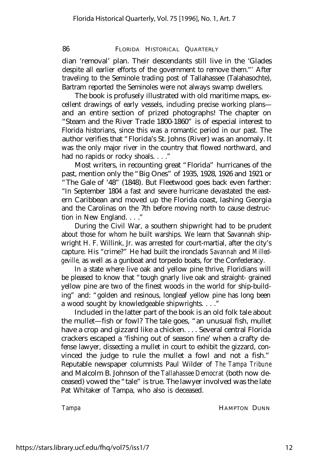dian 'removal' plan. Their descendants still live in the 'Glades despite all earlier efforts of the government to remove them."' After traveling to the Seminole trading post of Tallahassee (Talahasochte), Bartram reported the Seminoles were not always swamp dwellers.

The book is profusely illustrated with old maritime maps, excellent drawings of early vessels, including precise working plans and an entire section of prized photographs! The chapter on "Steam and the River Trade 1800-1860" is of especial interest to Florida historians, since this was a romantic period in our past. The author verifies that "Florida's St. Johns (River) was an anomaly. It was the only major river in the country that flowed northward, and had no rapids or rocky shoals. . . ."

Most writers, in recounting great "Florida" hurricanes of the past, mention only the "Big Ones" of 1935, 1928, 1926 and 1921 or "The Gale of '48" (1848). But Fleetwood goes back even farther: "In September 1804 a fast and severe hurricane devastated the eastern Caribbean and moved up the Florida coast, lashing Georgia and the Carolinas on the 7th before moving north to cause destruction in New England. . . ."

During the Civil War, a southern shipwright had to be prudent about those for whom he built warships. We learn that Savannah shipwright H. F. Willink, Jr. was arrested for court-martial, after the city's capture. His "crime?" He had built the ironclads *Savannah* and *Milledgeville,* as well as a gunboat and torpedo boats, for the Confederacy.

In a state where live oak and yellow pine thrive, Floridians will be pleased to know that "tough gnarly live oak and straight- grained yellow pine are two of the finest woods in the world for ship-building" and: "golden and resinous, longleaf yellow pine has long been a wood sought by knowledgeable shipwrights. . . ."

Included in the latter part of the book is an old folk tale about the mullet— fish or fowl? The tale goes, "an unusual fish, mullet have a crop and gizzard like a chicken. . . . Several central Florida crackers escaped a 'fishing out of season fine' when a crafty defense lawyer, dissecting a mullet in court to exhibit the gizzard, convinced the judge to rule the mullet a fowl and not a fish." Reputable newspaper columnists Paul Wilder of *The Tampa Tribune* and Malcolm B. Johnson of the *Tallahassee Democrat* (both now deceased) vowed the "tale" is true. The lawyer involved was the late Pat Whitaker of Tampa, who also is deceased.

**Tampa** HAMPTON DUNN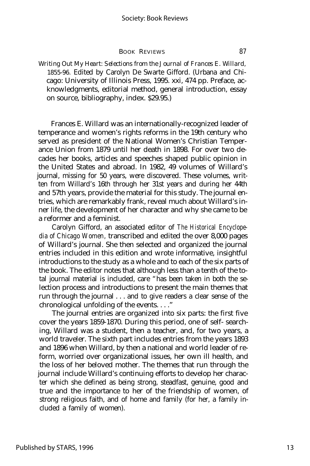*Writing Out My Heart: Selections from the Journal of Frances E. Willard, 1855-96.* Edited by Carolyn De Swarte Gifford. (Urbana and Chicago: University of Illinois Press, 1995. xxi, 474 pp. Preface, acknowledgments, editorial method, general introduction, essay on source, bibliography, index. \$29.95.)

Frances E. Willard was an internationally-recognized leader of temperance and women's rights reforms in the 19th century who served as president of the National Women's Christian Temperance Union from 1879 until her death in 1898. For over two decades her books, articles and speeches shaped public opinion in the United States and abroad. In 1982, 49 volumes of Willard's journal, missing for 50 years, were discovered. These volumes, written from Willard's 16th through her 31st years and during her 44th and 57th years, provide the material for this study. The journal entries, which are remarkably frank, reveal much about Willard's inner life, the development of her character and why she came to be a reformer and a feminist.

Carolyn Gifford, an associated editor of *The Historical Encyclopedia of Chicago Women,* transcribed and edited the over 8,000 pages of Willard's journal. She then selected and organized the journal entries included in this edition and wrote informative, insightful introductions to the study as a whole and to each of the six parts of the book. The editor notes that although less than a tenth of the total journal material is included, care "has been taken in both the selection process and introductions to present the main themes that run through the journal . . . and to give readers a clear sense of the chronological unfolding of the events. . . ."

The journal entries are organized into six parts: the first five cover the years 1859-1870. During this period, one of self- searching, Willard was a student, then a teacher, and, for two years, a world traveler. The sixth part includes entries from the years 1893 and 1896 when Willard, by then a national and world leader of reform, worried over organizational issues, her own ill health, and the loss of her beloved mother. The themes that run through the journal include Willard's continuing efforts to develop her character which she defined as being strong, steadfast, genuine, good and true and the importance to her of the friendship of women, of strong religious faith, and of home and family (for her, a family included a family of women).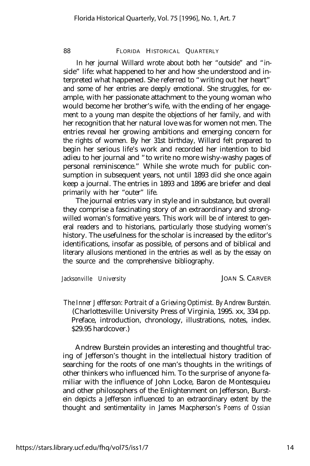In her journal Willard wrote about both her "outside" and "inside" life: what happened to her and how she understood and interpreted what happened. She referred to "writing out her heart" and some of her entries are deeply emotional. She struggles, for example, with her passionate attachment to the young woman who would become her brother's wife, with the ending of her engagement to a young man despite the objections of her family, and with her recognition that her natural love was for women not men. The entries reveal her growing ambitions and emerging concern for the rights of women. By her 31st birthday, Willard felt prepared to begin her serious life's work and recorded her intention to bid adieu to her journal and "to write no more wishy-washy pages of personal reminiscence." While she wrote much for public consumption in subsequent years, not until 1893 did she once again keep a journal. The entries in 1893 and 1896 are briefer and deal primarily with her "outer" life.

The journal entries vary in style and in substance, but overall they comprise a fascinating story of an extraordinary and strongwilled woman's formative years. This work will be of interest to general readers and to historians, particularly those studying women's history. The usefulness for the scholar is increased by the editor's identifications, insofar as possible, of persons and of biblical and literary allusions mentioned in the entries as well as by the essay on the source and the comprehensive bibliography.

*Jacksonville University* JOAN S. CARVER

*The Inner Jeffferson: Portrait of a Grieving Optimist.* By Andrew Burstein. (Charlottesville: University Press of Virginia, 1995. xx, 334 pp. Preface, introduction, chronology, illustrations, notes, index. \$29.95 hardcover.)

Andrew Burstein provides an interesting and thoughtful tracing of Jefferson's thought in the intellectual history tradition of searching for the roots of one man's thoughts in the writings of other thinkers who influenced him. To the surprise of anyone familiar with the influence of John Locke, Baron de Montesquieu and other philosophers of the Enlightenment on Jefferson, Burstein depicts a Jefferson influenced to an extraordinary extent by the thought and sentimentality in James Macpherson's *Poems of Ossian*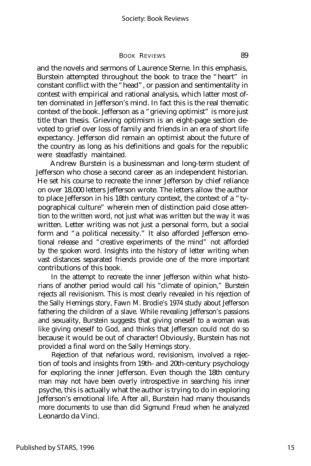and the novels and sermons of Laurence Sterne. In this emphasis, Burstein attempted throughout the book to trace the "heart" in constant conflict with the "head", or passion and sentimentality in contest with empirical and rational analysis, which latter most often dominated in Jefferson's mind. In fact this is the real thematic context of the book. Jefferson as a "grieving optimist" is more just title than thesis. Grieving optimism is an eight-page section devoted to grief over loss of family and friends in an era of short life expectancy. Jefferson did remain an optimist about the future of the country as long as his definitions and goals for the republic were steadfastly maintained.

Andrew Burstein is a businessman and long-term student of Jefferson who chose a second career as an independent historian. He set his course to recreate the inner Jefferson by chief reliance on over 18,000 letters Jefferson wrote. The letters allow the author to place Jefferson in his 18th century context, the context of a "typographical culture" wherein men of distinction paid close attention to the written word, not just what was written but the way it was written. Letter writing was not just a personal form, but a social form and "a political necessity." It also afforded Jefferson emotional release and "creative experiments of the mind" not afforded by the spoken word. Insights into the history of letter writing when vast distances separated friends provide one of the more important contributions of this book.

In the attempt to recreate the inner Jefferson within what historians of another period would call his "climate of opinion," Burstein rejects all revisionism. This is most clearly revealed in his rejection of the Sally Hemings story, Fawn M. Brodie's 1974 study about Jefferson fathering the children of a slave. While revealing Jefferson's passions and sexuality, Burstein suggests that giving oneself to a woman was like giving oneself to God, and thinks that Jefferson could not do so because it would be out of character! Obviously, Burstein has not provided a final word on the Sally Hemings story.

Rejection of that nefarious word, revisionism, involved a rejection of tools and insights from 19th- and 20th-century psychology for exploring the inner Jefferson. Even though the 18th century man may not have been overly introspective in searching his inner psyche, this is actually what the author is trying to do in exploring Jefferson's emotional life. After all, Burstein had many thousands more documents to use than did Sigmund Freud when he analyzed Leonardo da Vinci.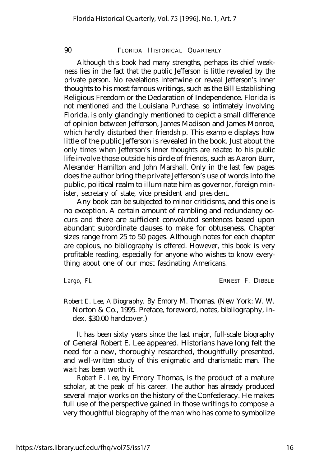Although this book had many strengths, perhaps its chief weakness lies in the fact that the public Jefferson is little revealed by the private person. No revelations intertwine or reveal Jefferson's inner thoughts to his most famous writings, such as the Bill Establishing Religious Freedom or the Declaration of Independence. Florida is not mentioned and the Louisiana Purchase, so intimately involving Florida, is only glancingly mentioned to depict a small difference of opinion between Jefferson, James Madison and James Monroe, which hardly disturbed their friendship. This example displays how little of the public Jefferson is revealed in the book. Just about the only times when Jefferson's inner thoughts are related to his public life involve those outside his circle of friends, such as Aaron Burr, Alexander Hamilton and John Marshall. Only in the last few pages does the author bring the private Jefferson's use of words into the public, political realm to illuminate him as governor, foreign minister, secretary of state, vice president and president.

Any book can be subjected to minor criticisms, and this one is no exception. A certain amount of rambling and redundancy occurs and there are sufficient convoluted sentences based upon abundant subordinate clauses to make for obtuseness. Chapter sizes range from 25 to 50 pages. Although notes for each chapter are copious, no bibliography is offered. However, this book is very profitable reading, especially for anyone who wishes to know everything about one of our most fascinating Americans.

Largo, FL **ERNEST** F. DIBBLE

*Robert E. Lee, A Biography.* By Emory M. Thomas. (New York: W. W. Norton & Co., 1995. Preface, foreword, notes, bibliography, index. \$30.00 hardcover.)

It has been sixty years since the last major, full-scale biography of General Robert E. Lee appeared. Historians have long felt the need for a new, thoroughly researched, thoughtfully presented, and well-written study of this enigmatic and charismatic man. The wait has been worth it.

*Robert E. Lee,* by Emory Thomas, is the product of a mature scholar, at the peak of his career. The author has already produced several major works on the history of the Confederacy. He makes full use of the perspective gained in those writings to compose a very thoughtful biography of the man who has come to symbolize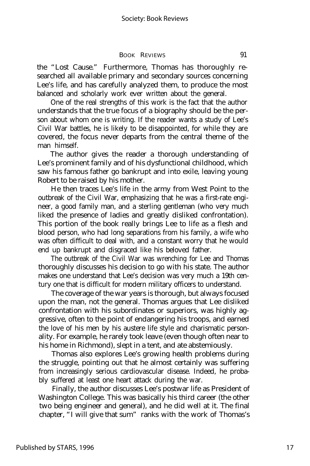the "Lost Cause." Furthermore, Thomas has thoroughly researched all available primary and secondary sources concerning Lee's life, and has carefully analyzed them, to produce the most balanced and scholarly work ever written about the general.

One of the real strengths of this work is the fact that the author understands that the true focus of a biography should be the person about whom one is writing. If the reader wants a study of Lee's Civil War battles, he is likely to be disappointed, for while they are covered, the focus never departs from the central theme of the man himself.

The author gives the reader a thorough understanding of Lee's prominent family and of his dysfunctional childhood, which saw his famous father go bankrupt and into exile, leaving young Robert to be raised by his mother.

He then traces Lee's life in the army from West Point to the outbreak of the Civil War, emphasizing that he was a first-rate engineer, a good family man, and a sterling gentleman (who very much liked the presence of ladies and greatly disliked confrontation). This portion of the book really brings Lee to life as a flesh and blood person, who had long separations from his family, a wife who was often difficult to deal with, and a constant worry that he would end up bankrupt and disgraced like his beloved father.

The outbreak of the Civil War was wrenching for Lee and Thomas thoroughly discusses his decision to go with his state. The author makes one understand that Lee's decision was very much a 19th century one that is difficult for modern military officers to understand.

The coverage of the war years is thorough, but always focused upon the man, not the general. Thomas argues that Lee disliked confrontation with his subordinates or superiors, was highly aggressive, often to the point of endangering his troops, and earned the love of his men by his austere life style and charismatic personality. For example, he rarely took leave (even though often near to his home in Richmond), slept in a tent, and ate abstemiously.

Thomas also explores Lee's growing health problems during the struggle, pointing out that he almost certainly was suffering from increasingly serious cardiovascular disease. Indeed, he probably suffered at least one heart attack during the war.

Finally, the author discusses Lee's postwar life as President of Washington College. This was basically his third career (the other two being engineer and general), and he did well at it. The final chapter, "I will give that sum" ranks with the work of Thomas's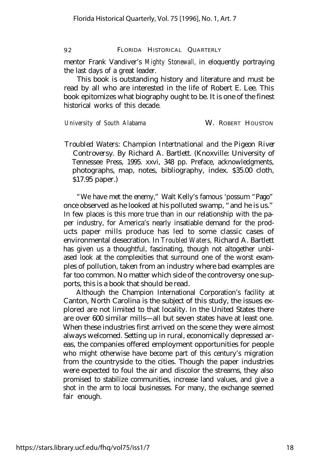mentor Frank Vandiver's *Mighty Stonewall,* in eloquently portraying the last days of a great leader.

This book is outstanding history and literature and must be read by all who are interested in the life of Robert E. Lee. This book epitomizes what biography ought to be. It is one of the finest historical works of this decade.

*University of South Alabama* W. ROBERT HOUSTON

*Troubled Waters: Champion Intertnational and the Pigeon River Controversy.* By Richard A. Bartlett. (Knoxville: University of Tennessee Press, 1995. xxvi, 348 pp. Preface, acknowledgments, photographs, map, notes, bibliography, index. \$35.00 cloth, \$17.95 paper.)

"We have met the enemy," Walt Kelly's famous 'possum "Pago" once observed as he looked at his polluted swamp, "and he is us." In few places is this more true than in our relationship with the paper industry, for America's nearly insatiable demand for the products paper mills produce has led to some classic cases of environmental desecration. In *Troubled Waters,* Richard A. Bartlett has given us a thoughtful, fascinating, though not altogether unbiased look at the complexities that surround one of the worst examples of pollution, taken from an industry where bad examples are far too common. No matter which side of the controversy one supports, this is a book that should be read.

Although the Champion International Corporation's facility at Canton, North Carolina is the subject of this study, the issues explored are not limited to that locality. In the United States there are over 600 similar mills— all but seven states have at least one. When these industries first arrived on the scene they were almost always welcomed. Setting up in rural, economically depressed areas, the companies offered employment opportunities for people who might otherwise have become part of this century's migration from the countryside to the cities. Though the paper industries were expected to foul the air and discolor the streams, they also promised to stabilize communities, increase land values, and give a shot in the arm to local businesses. For many, the exchange seemed fair enough.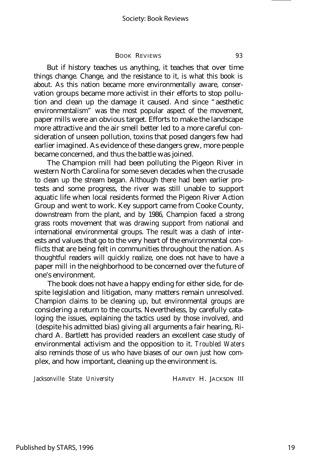But if history teaches us anything, it teaches that over time things change. Change, and the resistance to it, is what this book is about. As this nation became more environmentally aware, conservation groups became more activist in their efforts to stop pollution and clean up the damage it caused. And since "aesthetic environmentalism" was the most popular aspect of the movement, paper mills were an obvious target. Efforts to make the landscape more attractive and the air smell better led to a more careful consideration of unseen pollution, toxins that posed dangers few had earlier imagined. As evidence of these dangers grew, more people became concerned, and thus the battle was joined.

The Champion mill had been polluting the Pigeon River in western North Carolina for some seven decades when the crusade to clean up the stream began. Although there had been earlier protests and some progress, the river was still unable to support aquatic life when local residents formed the Pigeon River Action Group and went to work. Key support came from Cooke County, downstream from the plant, and by 1986, Champion faced a strong grass roots movement that was drawing support from national and international environmental groups. The result was a clash of interests and values that go to the very heart of the environmental conflicts that are being felt in communities throughout the nation. As thoughtful readers will quickly realize, one does not have to have a paper mill in the neighborhood to be concerned over the future of one's environment.

The book does not have a happy ending for either side, for despite legislation and litigation, many matters remain unresolved. Champion claims to be cleaning up, but environmental groups are considering a return to the courts. Nevertheless, by carefully cataloging the issues, explaining the tactics used by those involved, and (despite his admitted bias) giving all arguments a fair hearing, Richard A. Bartlett has provided readers an excellent case study of environmental activism and the opposition to it. *Troubled Waters* also reminds those of us who have biases of our own just how complex, and how important, cleaning up the environment is.

Jacksonville State University **HARVEY H. JACKSON III**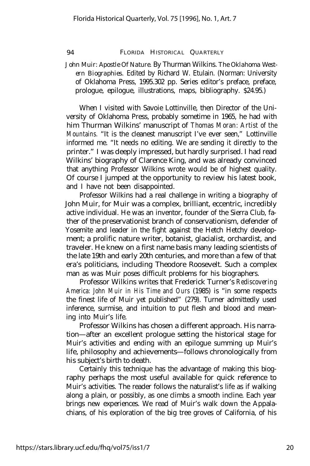*John Muir: Apostle Of Nature.* By Thurman Wilkins. *The Oklahoma Western Biographies.* Edited by Richard W. Etulain. (Norman: University of Oklahoma Press, 1995.302 pp. Series editor's preface, preface, prologue, epilogue, illustrations, maps, bibliography. \$24.95.)

When I visited with Savoie Lottinville, then Director of the University of Oklahoma Press, probably sometime in 1965, he had with him Thurman Wilkins' manuscript of *Thomas Moran: Artist of the Mountains.* "It is the cleanest manuscript I've ever seen," Lottinville informed me. "It needs no editing. We are sending it directly to the printer." I was deeply impressed, but hardly surprised. I had read Wilkins' biography of Clarence King, and was already convinced that anything Professor Wilkins wrote would be of highest quality. Of course I jumped at the opportunity to review his latest book, and I have not been disappointed.

Professor Wilkins had a real challenge in writing a biography of John Muir, for Muir was a complex, brilliant, eccentric, incredibly active individual. He was an inventor, founder of the Sierra Club, father of the preservationist branch of conservationism, defender of Yosemite and leader in the fight against the Hetch Hetchy development; a prolific nature writer, botanist, glacialist, orchardist, and traveler. He knew on a first name basis many leading scientists of the late 19th and early 20th centuries, and more than a few of that era's politicians, including Theodore Roosevelt. Such a complex man as was Muir poses difficult problems for his biographers.

Professor Wilkins writes that Frederick Turner's *Rediscovering America: John Muir in His Time and Ours* (1985) is "in some respects the finest life of Muir yet published" (279). Turner admittedly used inference, surmise, and intuition to put flesh and blood and meaning into Muir's life.

Professor Wilkins has chosen a different approach. His narration— after an excellent prologue setting the historical stage for Muir's activities and ending with an epilogue summing up Muir's life, philosophy and achievements— follows chronologically from his subject's birth to death.

Certainly this technique has the advantage of making this biography perhaps the most useful available for quick reference to Muir's activities. The reader follows the naturalist's life as if walking along a plain, or possibly, as one climbs a smooth incline. Each year brings new experiences. We read of Muir's walk down the Appalachians, of his exploration of the big tree groves of California, of his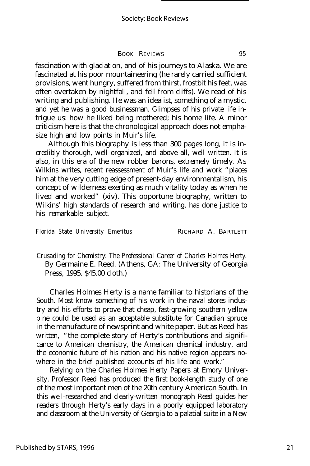fascination with glaciation, and of his journeys to Alaska. We are fascinated at his poor mountaineering (he rarely carried sufficient provisions, went hungry, suffered from thirst, frostbit his feet, was often overtaken by nightfall, and fell from cliffs). We read of his writing and publishing. He was an idealist, something of a mystic, and yet he was a good businessman. Glimpses of his private life intrigue us: how he liked being mothered; his home life. A minor criticism here is that the chronological approach does not emphasize high and low points in Muir's life.

Although this biography is less than 300 pages long, it is incredibly thorough, well organized, and above all, well written. It is also, in this era of the new robber barons, extremely timely. As Wilkins writes, recent reassessment of Muir's life and work "places him at the very cutting edge of present-day environmentalism, his concept of wilderness exerting as much vitality today as when he lived and worked" (xiv). This opportune biography, written to Wilkins' high standards of research and writing, has done justice to his remarkable subject.

*Florida State University Emeritus* RICHARD A. BARTLETT

*Crusading for Chemistry: The Professional Career of Charles Holmes Herty.* By Germaine E. Reed. (Athens, GA: The University of Georgia Press, 1995. \$45.00 cloth.)

Charles Holmes Herty is a name familiar to historians of the South. Most know something of his work in the naval stores industry and his efforts to prove that cheap, fast-growing southern yellow pine could be used as an acceptable substitute for Canadian spruce in the manufacture of newsprint and white paper. But as Reed has written, "the complete story of Herty's contributions and significance to American chemistry, the American chemical industry, and the economic future of his nation and his native region appears nowhere in the brief published accounts of his life and work."

Relying on the Charles Holmes Herty Papers at Emory University, Professor Reed has produced the first book-length study of one of the most important men of the 20th century American South. In this well-researched and clearly-written monograph Reed guides her readers through Herty's early days in a poorly equipped laboratory and classroom at the University of Georgia to a palatial suite in a New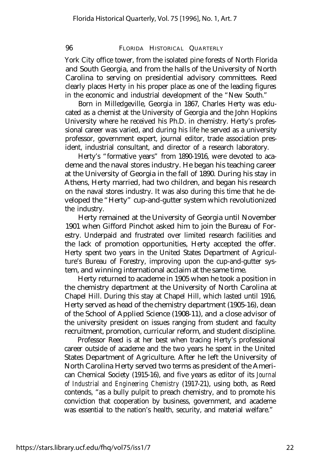York City office tower, from the isolated pine forests of North Florida and South Georgia, and from the halls of the University of North Carolina to serving on presidential advisory committees. Reed clearly places Herty in his proper place as one of the leading figures in the economic and industrial development of the "New South."

Born in Milledgeville, Georgia in 1867, Charles Herty was educated as a chemist at the University of Georgia and the John Hopkins University where he received his Ph.D. in chemistry. Herty's professional career was varied, and during his life he served as a university professor, government expert, journal editor, trade association president, industrial consultant, and director of a research laboratory.

Herty's "formative years" from 1890-1916, were devoted to academe and the naval stores industry. He began his teaching career at the University of Georgia in the fall of 1890. During his stay in Athens, Herty married, had two children, and began his research on the naval stores industry. It was also during this time that he developed the "Herty" cup-and-gutter system which revolutionized the industry.

Herty remained at the University of Georgia until November 1901 when Gifford Pinchot asked him to join the Bureau of Forestry. Underpaid and frustrated over limited research facilities and the lack of promotion opportunities, Herty accepted the offer. Herty spent two years in the United States Department of Agriculture's Bureau of Forestry, improving upon the cup-and-gutter system, and winning international acclaim at the same time.

Herty returned to academe in 1905 when he took a position in the chemistry department at the University of North Carolina at Chapel Hill. During this stay at Chapel Hill, which lasted until 1916, Herty served as head of the chemistry department (1905-16), dean of the School of Applied Science (1908-11), and a close advisor of the university president on issues ranging from student and faculty recruitment, promotion, curricular reform, and student discipline.

Professor Reed is at her best when tracing Herty's professional career outside of academe and the two years he spent in the United States Department of Agriculture. After he left the University of North Carolina Herty served two terms as president of the American Chemical Society (1915-16), and five years as editor of its *Journal of Industrial and Engineering Chemistry* (1917-21), using both, as Reed contends, "as a bully pulpit to preach chemistry, and to promote his conviction that cooperation by business, government, and academe was essential to the nation's health, security, and material welfare."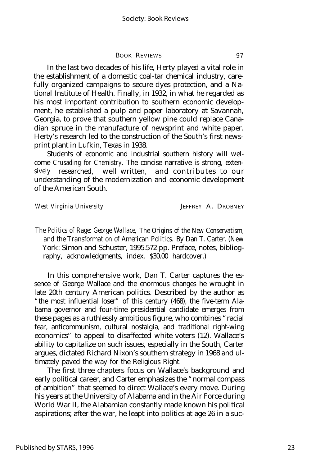In the last two decades of his life, Herty played a vital role in the establishment of a domestic coal-tar chemical industry, carefully organized campaigns to secure dyes protection, and a National Institute of Health. Finally, in 1932, in what he regarded as his most important contribution to southern economic development, he established a pulp and paper laboratory at Savannah, Georgia, to prove that southern yellow pine could replace Canadian spruce in the manufacture of newsprint and white paper. Herty's research led to the construction of the South's first newsprint plant in Lufkin, Texas in 1938.

Students of economic and industrial southern history will welcome *Crusading for Chemistry.* The concise narrative is strong, extensively researched, well written, and contributes to our understanding of the modernization and economic development of the American South.

*West Virginia University* JEFFREY A. DROBNEY

*The Politics of Rage: George Wallace, The Origins of the New Conservatism, and the Transformation of American Politics.* By Dan T. Carter. (New York: Simon and Schuster, 1995.572 pp. Preface, notes, bibliography, acknowledgments, index. \$30.00 hardcover.)

In this comprehensive work, Dan T. Carter captures the essence of George Wallace and the enormous changes he wrought in late 20th century American politics. Described by the author as "the most influential loser" of this century (468), the five-term Alabama governor and four-time presidential candidate emerges from these pages as a ruthlessly ambitious figure, who combines "racial fear, anticommunism, cultural nostalgia, and traditional right-wing economics" to appeal to disaffected white voters (12). Wallace's ability to capitalize on such issues, especially in the South, Carter argues, dictated Richard Nixon's southern strategy in 1968 and ultimately paved the way for the Religious Right.

The first three chapters focus on Wallace's background and early political career, and Carter emphasizes the "normal compass of ambition" that seemed to direct Wallace's every move. During his years at the University of Alabama and in the Air Force during World War II, the Alabamian constantly made known his political aspirations; after the war, he leapt into politics at age 26 in a suc-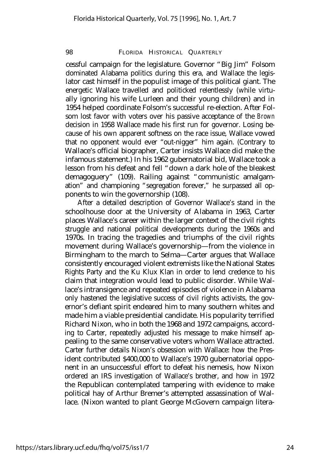cessful campaign for the legislature. Governor "Big Jim" Folsom dominated Alabama politics during this era, and Wallace the legislator cast himself in the populist image of this political giant. The energetic Wallace travelled and politicked relentlessly (while virtually ignoring his wife Lurleen and their young children) and in 1954 helped coordinate Folsom's successful re-election. After Folsom lost favor with voters over his passive acceptance of the *Brown* decision in 1958 Wallace made his first run for governor. Losing because of his own apparent softness on the race issue, Wallace vowed that no opponent would ever "out-nigger" him again. (Contrary to Wallace's official biographer, Carter insists Wallace did make the infamous statement.) In his 1962 gubernatorial bid, Wallace took a lesson from his defeat and fell "down a dark hole of the bleakest demagoguery" (109). Railing against "communistic amalgamation" and championing "segregation forever," he surpassed all opponents to win the governorship (108).

After a detailed description of Governor Wallace's stand in the schoolhouse door at the University of Alabama in 1963, Carter places Wallace's career within the larger context of the civil rights struggle and national political developments during the 1960s and 1970s. In tracing the tragedies and triumphs of the civil rights movement during Wallace's governorship— from the violence in Birmingham to the march to Selma— Carter argues that Wallace consistently encouraged violent extremists like the National States Rights Party and the Ku Klux Klan in order to lend credence to his claim that integration would lead to public disorder. While Wallace's intransigence and repeated episodes of violence in Alabama only hastened the legislative success of civil rights activists, the governor's defiant spirit endeared him to many southern whites and made him a viable presidential candidate. His popularity terrified Richard Nixon, who in both the 1968 and 1972 campaigns, according to Carter, repeatedly adjusted his message to make himself appealing to the same conservative voters whom Wallace attracted. Carter further details Nixon's obsession with Wallace: how the President contributed \$400,000 to Wallace's 1970 gubernatorial opponent in an unsuccessful effort to defeat his nemesis, how Nixon ordered an IRS investigation of Wallace's brother, and how in 1972 the Republican contemplated tampering with evidence to make political hay of Arthur Bremer's attempted assassination of Wallace. (Nixon wanted to plant George McGovern campaign litera-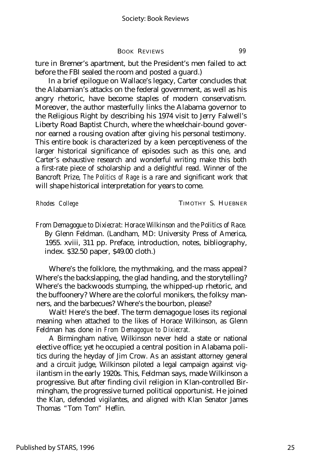ture in Bremer's apartment, but the President's men failed to act before the FBI sealed the room and posted a guard.)

In a brief epilogue on Wallace's legacy, Carter concludes that the Alabamian's attacks on the federal government, as well as his angry rhetoric, have become staples of modern conservatism. Moreover, the author masterfully links the Alabama governor to the Religious Right by describing his 1974 visit to Jerry Falwell's Liberty Road Baptist Church, where the wheelchair-bound governor earned a rousing ovation after giving his personal testimony. This entire book is characterized by a keen perceptiveness of the larger historical significance of episodes such as this one, and Carter's exhaustive research and wonderful writing make this both a first-rate piece of scholarship and a delightful read. Winner of the Bancroft Prize, *The Politics of Rage* is a rare and significant work that will shape historical interpretation for years to come.

*Rhodes College* TIMOTHY S. HUEBNER

*From Demagogue to Dixiecrat: Horace Wilkinson and the Politics of Race.* By Glenn Feldman. (Landham, MD: University Press of America, 1955. xviii, 311 pp. Preface, introduction, notes, bibliography, index. \$32.50 paper, \$49.00 cloth.)

Where's the folklore, the mythmaking, and the mass appeal? Where's the backslapping, the glad handing, and the storytelling? Where's the backwoods stumping, the whipped-up rhetoric, and the buffoonery? Where are the colorful monikers, the folksy manners, and the barbecues? Where's the bourbon, please?

Wait! Here's the beef. The term demagogue loses its regional meaning when attached to the likes of Horace Wilkinson, as Glenn Feldman has done in *From Demagogue to Dixiecrat.*

A Birmingham native, Wilkinson never held a state or national elective office; yet he occupied a central position in Alabama politics during the heyday of Jim Crow. As an assistant attorney general and a circuit judge, Wilkinson piloted a legal campaign against vigilantism in the early 1920s. This, Feldman says, made Wilkinson a progressive. But after finding civil religion in Klan-controlled Birmingham, the progressive turned political opportunist. He joined the Klan, defended vigilantes, and aligned with Klan Senator James Thomas "Tom Tom" Heflin.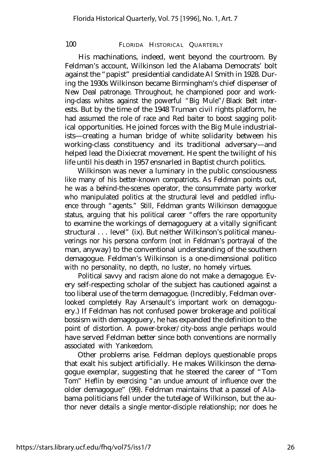His machinations, indeed, went beyond the courtroom. By Feldman's account, Wilkinson led the Alabama Democrats' bolt against the "papist" presidential candidate Al Smith in 1928. During the 1930s Wilkinson became Birmingham's chief dispenser of New Deal patronage. Throughout, he championed poor and working-class whites against the powerful "Big Mule"/Black Belt interests. But by the time of the 1948 Truman civil rights platform, he had assumed the role of race and Red baiter to boost sagging political opportunities. He joined forces with the Big Mule industrialists— creating a human bridge of white solidarity between his working-class constituency and its traditional adversary— and helped lead the Dixiecrat movement. He spent the twilight of his life until his death in 1957 ensnarled in Baptist church politics.

Wilkinson was never a luminary in the public consciousness like many of his better-known compatriots. As Feldman points out, he was a behind-the-scenes operator, the consummate party worker who manipulated politics at the structural level and peddled influence through "agents." Still, Feldman grants Wilkinson demagogue status, arguing that his political career "offers the rare opportunity to examine the workings of demagoguery at a vitally significant structural . . . level" (ix). But neither Wilkinson's political maneuverings nor his persona conform (not in Feldman's portrayal of the man, anyway) to the conventional understanding of the southern demagogue. Feldman's Wilkinson is a one-dimensional politico with no personality, no depth, no luster, no homely virtues.

Political savvy and racism alone do not make a demagogue. Every self-respecting scholar of the subject has cautioned against a too liberal use of the term demagogue. (Incredibly, Feldman overlooked completely Ray Arsenault's important work on demagoguery.) If Feldman has not confused power brokerage and political bossism with demagoguery, he has expanded the definition to the point of distortion. A power-broker/city-boss angle perhaps would have served Feldman better since both conventions are normally associated with Yankeedom.

Other problems arise. Feldman deploys questionable props that exalt his subject artificially. He makes Wilkinson the demagogue exemplar, suggesting that he steered the career of "Tom Tom" Heflin by exercising "an undue amount of influence over the older demagogue" (99). Feldman maintains that a passel of Alabama politicians fell under the tutelage of Wilkinson, but the author never details a single mentor-disciple relationship; nor does he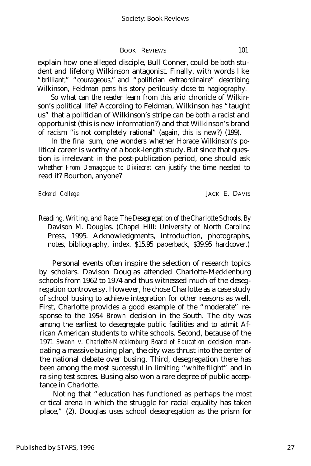explain how one alleged disciple, Bull Conner, could be both student and lifelong Wilkinson antagonist. Finally, with words like "brilliant," "courageous," and "politician extraordinaire" describing Wilkinson, Feldman pens his story perilously close to hagiography.

So what can the reader learn from this arid chronicle of Wilkinson's political life? According to Feldman, Wilkinson has "taught us" that a politician of Wilkinson's stripe can be both a racist and opportunist (this is new information?) and that Wilkinson's brand of racism "is not completely rational" (again, this is new?) (199).

In the final sum, one wonders whether Horace Wilkinson's political career is worthy of a book-length study. But since that question is irrelevant in the post-publication period, one should ask whether *From Demagogue to Dixiecrat* can justify the time needed to read it? Bourbon, anyone?

*Eckerd College* JACK E. DAVIS

*Reading, Writing, and Race: The Desegregation of the Charlotte Schools.* By Davison M. Douglas. (Chapel Hill: University of North Carolina Press, 1995. Acknowledgments, introduction, photographs, notes, bibliography, index. \$15.95 paperback, \$39.95 hardcover.)

Personal events often inspire the selection of research topics by scholars. Davison Douglas attended Charlotte-Mecklenburg schools from 1962 to 1974 and thus witnessed much of the desegregation controversy. However, he chose Charlotte as a case study of school busing to achieve integration for other reasons as well. First, Charlotte provides a good example of the "moderate" response to the 1954 *Brown* decision in the South. The city was among the earliest to desegregate public facilities and to admit African American students to white schools. Second, because of the 1971 *Swann v. Charlotte-Mecklenburg Board of Education* decision mandating a massive busing plan, the city was thrust into the center of the national debate over busing. Third, desegregation there has been among the most successful in limiting "white flight" and in raising test scores. Busing also won a rare degree of public acceptance in Charlotte.

Noting that "education has functioned as perhaps the most critical arena in which the struggle for racial equality has taken place," (2), Douglas uses school desegregation as the prism for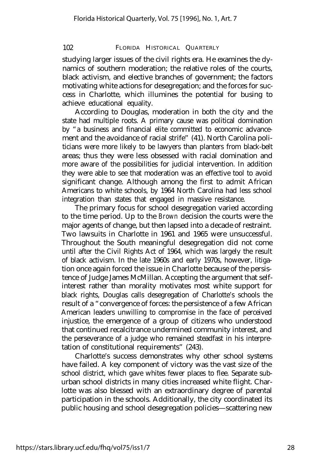studying larger issues of the civil rights era. He examines the dynamics of southern moderation; the relative roles of the courts, black activism, and elective branches of government; the factors motivating white actions for desegregation; and the forces for success in Charlotte, which illumines the potential for busing to achieve educational equality.

According to Douglas, moderation in both the city and the state had multiple roots. A primary cause was political domination by "a business and financial elite committed to economic advancement and the avoidance of racial strife" (41). North Carolina politicians were more likely to be lawyers than planters from black-belt areas; thus they were less obsessed with racial domination and more aware of the possibilities for judicial intervention. In addition they were able to see that moderation was an effective tool to avoid significant change. Although among the first to admit African Americans to white schools, by 1964 North Carolina had less school integration than states that engaged in massive resistance.

The primary focus for school desegregation varied according to the time period. Up to the *Brown* decision the courts were the major agents of change, but then lapsed into a decade of restraint. Two lawsuits in Charlotte in 1961 and 1965 were unsuccessful. Throughout the South meaningful desegregation did not come until after the Civil Rights Act of 1964, which was largely the result of black activism. In the late 1960s and early 1970s, however, litigation once again forced the issue in Charlotte because of the persistence of Judge James McMillan. Accepting the argument that selfinterest rather than morality motivates most white support for black rights, Douglas calls desegregation of Charlotte's schools the result of a "convergence of forces: the persistence of a few African American leaders unwilling to compromise in the face of perceived injustice, the emergence of a group of citizens who understood that continued recalcitrance undermined community interest, and the perseverance of a judge who remained steadfast in his interpretation of constitutional requirements" (243).

Charlotte's success demonstrates why other school systems have failed. A key component of victory was the vast size of the school district, which gave whites fewer places to flee. Separate suburban school districts in many cities increased white flight. Charlotte was also blessed with an extraordinary degree of parental participation in the schools. Additionally, the city coordinated its public housing and school desegregation policies— scattering new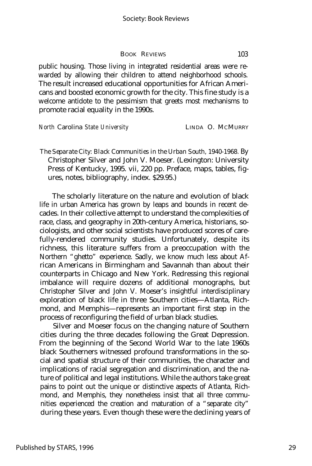public housing. Those living in integrated residential areas were rewarded by allowing their children to attend neighborhood schools. The result increased educational opportunities for African Americans and boosted economic growth for the city. This fine study is a welcome antidote to the pessimism that greets most mechanisms to promote racial equality in the 1990s.

*North* Carolina *State University* LINDA O. MCMURRY

*The Separate City: Black Communities in the Urban South, 1940-1968.* By Christopher Silver and John V. Moeser. (Lexington: University Press of Kentucky, 1995. vii, 220 pp. Preface, maps, tables, figures, notes, bibliography, index. \$29.95.)

The scholarly literature on the nature and evolution of black life in urban America has grown by leaps and bounds in recent decades. In their collective attempt to understand the complexities of race, class, and geography in 20th-century America, historians, sociologists, and other social scientists have produced scores of carefully-rendered community studies. Unfortunately, despite its richness, this literature suffers from a preoccupation with the Northern "ghetto" experience. Sadly, we know much less about African Americans in Birmingham and Savannah than about their counterparts in Chicago and New York. Redressing this regional imbalance will require dozens of additional monographs, but Christopher Silver and John V. Moeser's insightful interdisciplinary exploration of black life in three Southern cities— Atlanta, Richmond, and Memphis— represents an important first step in the process of reconfiguring the field of urban black studies.

Silver and Moeser focus on the changing nature of Southern cities during the three decades following the Great Depression. From the beginning of the Second World War to the late 1960s black Southerners witnessed profound transformations in the social and spatial structure of their communities, the character and implications of racial segregation and discrimination, and the nature of political and legal institutions. While the authors take great pains to point out the unique or distinctive aspects of Atlanta, Richmond, and Memphis, they nonetheless insist that all three communities experienced the creation and maturation of a "separate city" during these years. Even though these were the declining years of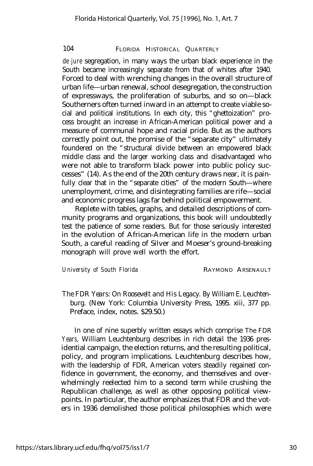*de jure* segregation, in many ways the urban black experience in the South became increasingly separate from that of whites after 1940. Forced to deal with wrenching changes in the overall structure of urban life— urban renewal, school desegregation, the construction of expressways, the proliferation of suburbs, and so on— black Southerners often turned inward in an attempt to create viable social and political institutions. In each city, this "ghettoization" process brought an increase in African-American political power and a measure of communal hope and racial pride. But as the authors correctly point out, the promise of the "separate city" ultimately foundered on the "structural divide between an empowered black middle class and the larger working class and disadvantaged who were not able to transform black power into public policy successes" (14). As the end of the 20th century draws near, it is painfully clear that in the "separate cities" of the modern South-where unemployment, crime, and disintegrating families are rife— social and economic progress lags far behind political empowerment.

Replete with tables, graphs, and detailed descriptions of community programs and organizations, this book will undoubtedly test the patience of some readers. But for those seriously interested in the evolution of African-American life in the modern urban South, a careful reading of Silver and Moeser's ground-breaking monograph will prove well worth the effort.

*University of South Florida* RAYMOND ARSENAULT

*The FDR Years: On Roosevelt and His Legacy.* By William E. Leuchtenburg. (New York: Columbia University Press, 1995. xiii, 377 pp. Preface, index, notes. \$29.50.)

In one of nine superbly written essays which comprise *The FDR Years,* William Leuchtenburg describes in rich detail the 1936 presidential campaign, the election returns, and the resulting political, policy, and program implications. Leuchtenburg describes how, with the leadership of FDR, American voters steadily regained confidence in government, the economy, and themselves and overwhelmingly reelected him to a second term while crushing the Republican challenge, as well as other opposing political viewpoints. In particular, the author emphasizes that FDR and the voters in 1936 demolished those political philosophies which were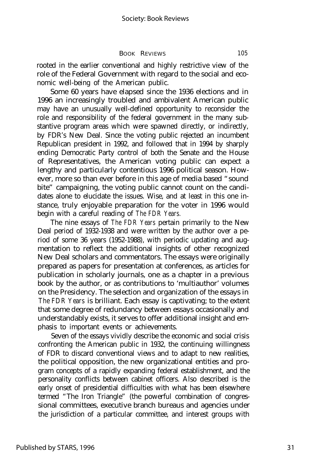rooted in the earlier conventional and highly restrictive view of the role of the Federal Government with regard to the social and economic well-being of the American public.

Some 60 years have elapsed since the 1936 elections and in 1996 an increasingly troubled and ambivalent American public may have an unusually well-defined opportunity to reconsider the role and responsibility of the federal government in the many substantive program areas which were spawned directly, or indirectly, by FDR's New Deal. Since the voting public rejected an incumbent Republican president in 1992, and followed that in 1994 by sharply ending Democratic Party control of both the Senate and the House of Representatives, the American voting public can expect a lengthy and particularly contentious 1996 political season. However, more so than ever before in this age of media based "sound bite" campaigning, the voting public cannot count on the candidates alone to elucidate the issues. Wise, and at least in this one instance, truly enjoyable preparation for the voter in 1996 would begin with a careful reading of *The FDR Years.*

The nine essays of *The FDR Years* pertain primarily to the New Deal period of 1932-1938 and were written by the author over a period of some 36 years (1952-1988), with periodic updating and augmentation to reflect the additional insights of other recognized New Deal scholars and commentators. The essays were originally prepared as papers for presentation at conferences, as articles for publication in scholarly journals, one as a chapter in a previous book by the author, or as contributions to 'multiauthor' volumes on the Presidency. The selection and organization of the essays in *The FDR Years* is brilliant. Each essay is captivating; to the extent that some degree of redundancy between essays occasionally and understandably exists, it serves to offer additional insight and emphasis to important events or achievements.

Seven of the essays vividly describe the economic and social crisis confronting the American public in 1932, the continuing willingness of FDR to discard conventional views and to adapt to new realities, the political opposition, the new organizational entities and program concepts of a rapidly expanding federal establishment, and the personality conflicts between cabinet officers. Also described is the early onset of presidential difficulties with what has been elsewhere termed "The Iron Triangle" (the powerful combination of congressional committees, executive branch bureaus and agencies under the jurisdiction of a particular committee, and interest groups with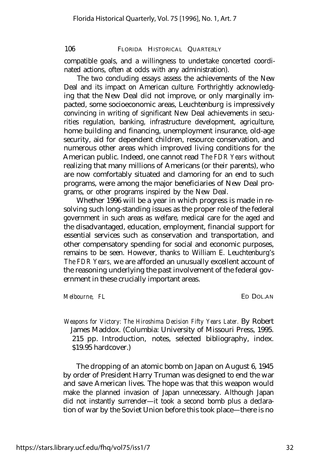compatible goals, and a willingness to undertake concerted coordinated actions, often at odds with any administration).

The two concluding essays assess the achievements of the New Deal and its impact on American culture. Forthrightly acknowledging that the New Deal did not improve, or only marginally impacted, some socioeconomic areas, Leuchtenburg is impressively convincing in writing of significant New Deal achievements in securities regulation, banking, infrastructure development, agriculture, home building and financing, unemployment insurance, old-age security, aid for dependent children, resource conservation, and numerous other areas which improved living conditions for the American public. Indeed, one cannot read *The FDR Years* without realizing that many millions of Americans (or their parents), who are now comfortably situated and clamoring for an end to such programs, were among the major beneficiaries of New Deal programs, or other programs inspired by the New Deal.

Whether 1996 will be a year in which progress is made in resolving such long-standing issues as the proper role of the federal government in such areas as welfare, medical care for the aged and the disadvantaged, education, employment, financial support for essential services such as conservation and transportation, and other compensatory spending for social and economic purposes, remains to be seen. However, thanks to William E. Leuchtenburg's *The FDR Years,* we are afforded an unusually excellent account of the reasoning underlying the past involvement of the federal government in these crucially important areas.

*Melbourne, FL* ED DOL.AN

*Weapons for Victory: The Hiroshima Decision Fifty Years Later.* By Robert James Maddox. (Columbia: University of Missouri Press, 1995. 215 pp. Introduction, notes, selected bibliography, index. \$19.95 hardcover.)

The dropping of an atomic bomb on Japan on August 6, 1945 by order of President Harry Truman was designed to end the war and save American lives. The hope was that this weapon would make the planned invasion of Japan unnecessary. Although Japan did not instantly surrender— it took a second bomb plus a declaration of war by the Soviet Union before this took place— there is no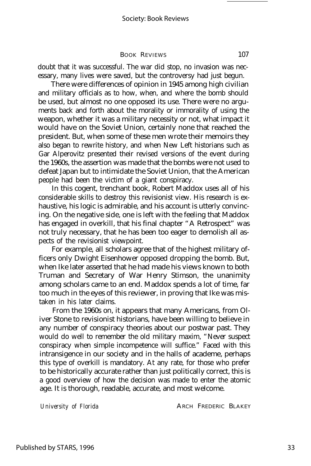doubt that it was successful. The war did stop, no invasion was necessary, many lives were saved, but the controversy had just begun.

There were differences of opinion in 1945 among high civilian and military officials as to how, when, and where the bomb should be used, but almost no one opposed its use. There were no arguments back and forth about the morality or immorality of using the weapon, whether it was a military necessity or not, what impact it would have on the Soviet Union, certainly none that reached the president. But, when some of these men wrote their memoirs they also began to rewrite history, and when New Left historians such as Gar Alperovitz presented their revised versions of the event during the 1960s, the assertion was made that the bombs were not used to defeat Japan but to intimidate the Soviet Union, that the American people had been the victim of a giant conspiracy.

In this cogent, trenchant book, Robert Maddox uses all of his considerable skills to destroy this revisionist view. His research is exhaustive, his logic is admirable, and his account is utterly convincing. On the negative side, one is left with the feeling that Maddox has engaged in overkill, that his final chapter "A Retrospect" was not truly necessary, that he has been too eager to demolish all aspects of the revisionist viewpoint.

For example, all scholars agree that of the highest military officers only Dwight Eisenhower opposed dropping the bomb. But, when Ike later asserted that he had made his views known to both Truman and Secretary of War Henry Stimson, the unanimity among scholars came to an end. Maddox spends a lot of time, far too much in the eyes of this reviewer, in proving that Ike was mistaken in his later claims.

From the 1960s on, it appears that many Americans, from Oliver Stone to revisionist historians, have been willing to believe in any number of conspiracy theories about our postwar past. They would do well to remember the old military maxim, "Never suspect conspiracy when simple incompetence will suffice." Faced with this intransigence in our society and in the halls of academe, perhaps this type of overkill is mandatory. At any rate, for those who prefer to be historically accurate rather than just politically correct, this is a good overview of how the decision was made to enter the atomic age. It is thorough, readable, accurate, and most welcome.

*University of Florida* ARCH FREDERIC BLAKEY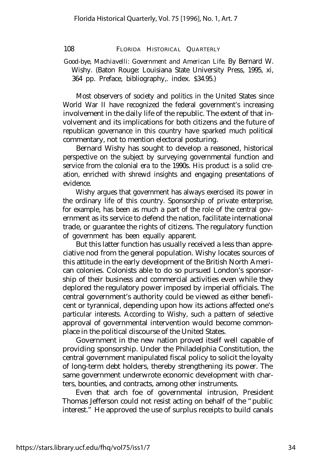*Good-bye, Machiavelli: Government and American Life.* By Bernard W. Wishy. (Baton Rouge: Louisiana State University Press, 1995, xi, 364 pp. Preface, bibliography,. index. \$34.95.)

Most observers of society and politics in the United States since World War II have recognized the federal government's increasing involvement in the daily life of the republic. The extent of that involvement and its implications for both citizens and the future of republican governance in this country have sparked much political commentary, not to mention electoral posturing.

Bernard Wishy has sought to develop a reasoned, historical perspective on the subject by surveying governmental function and service from the colonial era to the 1990s. His product is a solid creation, enriched with shrewd insights and engaging presentations of evidence.

Wishy argues that government has always exercised its power in the ordinary life of this country. Sponsorship of private enterprise, for example, has been as much a part of the role of the central government as its service to defend the nation, facilitate international trade, or guarantee the rights of citizens. The regulatory function of government has been equally apparent.

But this latter function has usually received a less than appreciative nod from the general population. Wishy locates sources of this attitude in the early development of the British North American colonies. Colonists able to do so pursued London's sponsorship of their business and commercial activities even while they deplored the regulatory power imposed by imperial officials. The central government's authority could be viewed as either beneficent or tyrannical, depending upon how its actions affected one's particular interests. According to Wishy, such a pattern of selective approval of governmental intervention would become commonplace in the political discourse of the United States.

Government in the new nation proved itself well capable of providing sponsorship. Under the Philadelphia Constitution, the central government manipulated fiscal policy to solicit the loyalty of long-term debt holders, thereby strengthening its power. The same government underwrote economic development with charters, bounties, and contracts, among other instruments.

Even that arch foe of governmental intrusion, President Thomas Jefferson could not resist acting on behalf of the "public interest." He approved the use of surplus receipts to build canals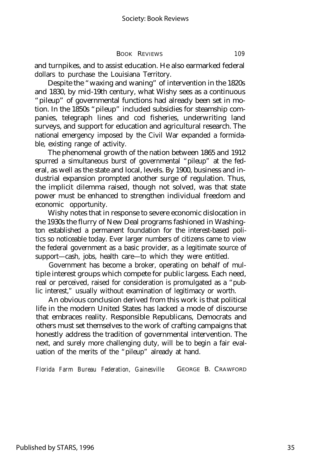and turnpikes, and to assist education. He also earmarked federal dollars to purchase the Louisiana Territory.

Despite the "waxing and waning" of intervention in the 1820s and 1830, by mid-19th century, what Wishy sees as a continuous "pileup" of governmental functions had already been set in motion. In the 1850s "pileup" included subsidies for steamship companies, telegraph lines and cod fisheries, underwriting land surveys, and support for education and agricultural research. The national emergency imposed by the Civil War expanded a formidable, existing range of activity.

The phenomenal growth of the nation between 1865 and 1912 spurred a simultaneous burst of governmental "pileup" at the federal, as well as the state and local, levels. By 1900, business and industrial expansion prompted another surge of regulation. Thus, the implicit dilemma raised, though not solved, was that state power must be enhanced to strengthen individual freedom and economic opportunity.

Wishy notes that in response to severe economic dislocation in the 1930s the flurry of New Deal programs fashioned in Washington established a permanent foundation for the interest-based politics so noticeable today. Ever larger numbers of citizens came to view the federal government as a basic provider, as a legitimate source of support— cash, jobs, health care— to which they were entitled.

Government has become a broker, operating on behalf of multiple interest groups which compete for public largess. Each need, real or perceived, raised for consideration is promulgated as a "public interest," usually without examination of legitimacy or worth.

An obvious conclusion derived from this work is that political life in the modern United States has lacked a mode of discourse that embraces reality. Responsible Republicans, Democrats and others must set themselves to the work of crafting campaigns that honestly address the tradition of governmental intervention. The next, and surely more challenging duty, will be to begin a fair evaluation of the merits of the "pileup" already at hand.

*Florida Farm Bureau Federation, Gainesville* GEORGE B. CRAWFORD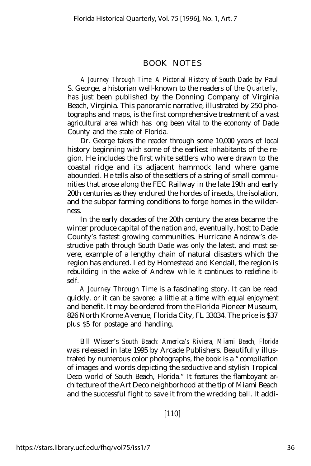#### BOOK NOTES

*A Journey Through Time: A Pictorial History of South Dade* by Paul S. George, a historian well-known to the readers of the *Quarterly,* has just been published by the Donning Company of Virginia Beach, Virginia. This panoramic narrative, illustrated by 250 photographs and maps, is the first comprehensive treatment of a vast agricultural area which has long been vital to the economy of Dade County and the state of Florida.

Dr. George takes the reader through some 10,000 years of local history beginning with some of the earliest inhabitants of the region. He includes the first white settlers who were drawn to the coastal ridge and its adjacent hammock land where game abounded. He tells also of the settlers of a string of small communities that arose along the FEC Railway in the late 19th and early 20th centuries as they endured the hordes of insects, the isolation, and the subpar farming conditions to forge homes in the wilderness.

In the early decades of the 20th century the area became the winter produce capital of the nation and, eventually, host to Dade County's fastest growing communities. Hurricane Andrew's destructive path through South Dade was only the latest, and most severe, example of a lengthy chain of natural disasters which the region has endured. Led by Homestead and Kendall, the region is rebuilding in the wake of Andrew while it continues to redefine itself.

*A Journey Through Time* is a fascinating story. It can be read quickly, or it can be savored a little at a time with equal enjoyment and benefit. It may be ordered from the Florida Pioneer Museum, 826 North Krome Avenue, Florida City, FL 33034. The price is \$37 plus \$5 for postage and handling.

Bill Wisser's *South Beach: America's Riviera, Miami Beach, Florida* was released in late 1995 by Arcade Publishers. Beautifully illustrated by numerous color photographs, the book is a "compilation of images and words depicting the seductive and stylish Tropical Deco world of South Beach, Florida." It features the flamboyant architecture of the Art Deco neighborhood at the tip of Miami Beach and the successful fight to save it from the wrecking ball. It addi-

[110]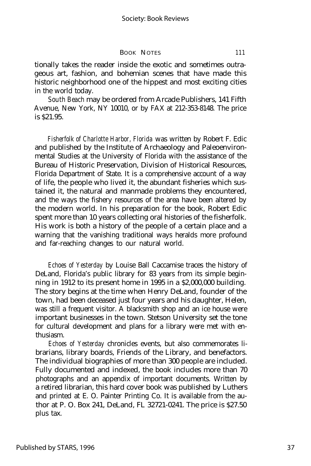BOOK NOTES 111

tionally takes the reader inside the exotic and sometimes outrageous art, fashion, and bohemian scenes that have made this historic neighborhood one of the hippest and most exciting cities in the world today.

*South Beach* may be ordered from Arcade Publishers, 141 Fifth Avenue, New York, NY 10010, or by FAX at 212-353-8148. The price is \$21.95.

*Fisherfolk of Charlotte Harbor, Florida* was written by Robert F. Edic and published by the Institute of Archaeology and Paleoenvironmental Studies at the University of Florida with the assistance of the Bureau of Historic Preservation, Division of Historical Resources, Florida Department of State. It is a comprehensive account of a way of life, the people who lived it, the abundant fisheries which sustained it, the natural and manmade problems they encountered, and the ways the fishery resources of the area have been altered by the modern world. In his preparation for the book, Robert Edic spent more than 10 years collecting oral histories of the fisherfolk. His work is both a history of the people of a certain place and a warning that the vanishing traditional ways heralds more profound and far-reaching changes to our natural world.

*Echoes of Yesterday* by Louise Ball Caccamise traces the history of DeLand, Florida's public library for 83 years from its simple beginning in 1912 to its present home in 1995 in a \$2,000,000 building. The story begins at the time when Henry DeLand, founder of the town, had been deceased just four years and his daughter, Helen, was still a frequent visitor. A blacksmith shop and an ice house were important businesses in the town. Stetson University set the tone for cultural development and plans for a library were met with enthusiasm.

*Echoes of Yesterday* chronicles events, but also commemorates librarians, library boards, Friends of the Library, and benefactors. The individual biographies of more than 300 people are included. Fully documented and indexed, the book includes more than 70 photographs and an appendix of important documents. Written by a retired librarian, this hard cover book was published by Luthers and printed at E. O. Painter Printing Co. It is available from the author at P. O. Box 241, DeLand, FL 32721-0241. The price is \$27.50 plus tax.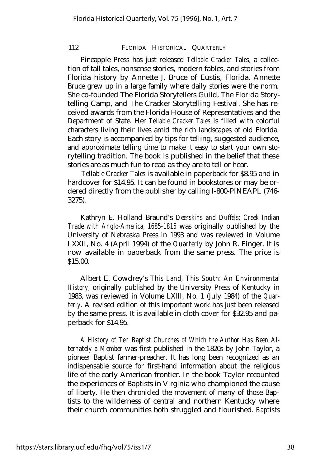Pineapple Press has just released *Tellable Cracker Tales,* a collection of tall tales, nonsense stories, modern fables, and stories from Florida history by Annette J. Bruce of Eustis, Florida. Annette Bruce grew up in a large family where daily stories were the norm. She co-founded The Florida Storytellers Guild, The Florida Storytelling Camp, and The Cracker Storytelling Festival. She has received awards from the Florida House of Representatives and the Department of State. Her *Tellable Cracker Tales* is filled with colorful characters living their lives amid the rich landscapes of old Florida. Each story is accompanied by tips for telling, suggested audience, and approximate telling time to make it easy to start your own storytelling tradition. The book is published in the belief that these stories are as much fun to read as they are to tell or hear.

*Tellable Cracker Tales* is available in paperback for \$8.95 and in hardcover for \$14.95. It can be found in bookstores or may be ordered directly from the publisher by calling l-800-PINEAPL (746- 3275).

Kathryn E. Holland Braund's *Deerskins and Duffels: Creek Indian Trade with Anglo-America, 1685-1815* was originally published by the University of Nebraska Press in 1993 and was reviewed in Volume LXXII, No. 4 (April 1994) of the *Quarterly* by John R. Finger. It is now available in paperback from the same press. The price is \$15.00.

Albert E. Cowdrey's *This Land, This South: An Environmental History,* originally published by the University Press of Kentucky in 1983, was reviewed in Volume LXIII, No. 1 (July 1984) of the *Quarterly.* A revised edition of this important work has just been released by the same press. It is available in cloth cover for \$32.95 and paperback for \$14.95.

*A History of Ten Baptist Churches of Which the Author Has Been Alternately a Member* was first published in the 1820s by John Taylor, a pioneer Baptist farmer-preacher. It has long been recognized as an indispensable source for first-hand information about the religious life of the early American frontier. In the book Taylor recounted the experiences of Baptists in Virginia who championed the cause of liberty. He then chronicled the movement of many of those Baptists to the wilderness of central and northern Kentucky where their church communities both struggled and flourished. *Baptists*